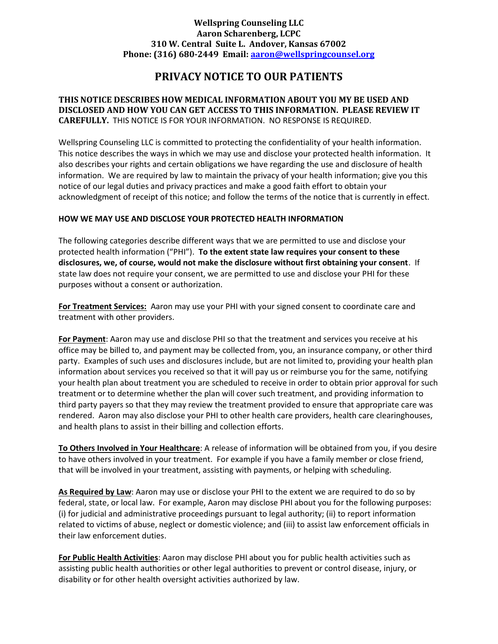## Wellspring Counseling LLC Aaron Scharenberg, LCPC 310 W. Central Suite L. Andover, Kansas 67002 Phone: (316) 680-2449 Email: aaron@wellspringcounsel.org

# PRIVACY NOTICE TO OUR PATIENTS

## THIS NOTICE DESCRIBES HOW MEDICAL INFORMATION ABOUT YOU MY BE USED AND DISCLOSED AND HOW YOU CAN GET ACCESS TO THIS INFORMATION. PLEASE REVIEW IT CAREFULLY. THIS NOTICE IS FOR YOUR INFORMATION. NO RESPONSE IS REQUIRED.

Wellspring Counseling LLC is committed to protecting the confidentiality of your health information. This notice describes the ways in which we may use and disclose your protected health information. It also describes your rights and certain obligations we have regarding the use and disclosure of health information. We are required by law to maintain the privacy of your health information; give you this notice of our legal duties and privacy practices and make a good faith effort to obtain your acknowledgment of receipt of this notice; and follow the terms of the notice that is currently in effect.

## HOW WE MAY USE AND DISCLOSE YOUR PROTECTED HEALTH INFORMATION

The following categories describe different ways that we are permitted to use and disclose your protected health information ("PHI"). To the extent state law requires your consent to these disclosures, we, of course, would not make the disclosure without first obtaining your consent. If state law does not require your consent, we are permitted to use and disclose your PHI for these purposes without a consent or authorization.

For Treatment Services: Aaron may use your PHI with your signed consent to coordinate care and treatment with other providers.

For Payment: Aaron may use and disclose PHI so that the treatment and services you receive at his office may be billed to, and payment may be collected from, you, an insurance company, or other third party. Examples of such uses and disclosures include, but are not limited to, providing your health plan information about services you received so that it will pay us or reimburse you for the same, notifying your health plan about treatment you are scheduled to receive in order to obtain prior approval for such treatment or to determine whether the plan will cover such treatment, and providing information to third party payers so that they may review the treatment provided to ensure that appropriate care was rendered. Aaron may also disclose your PHI to other health care providers, health care clearinghouses, and health plans to assist in their billing and collection efforts.

To Others Involved in Your Healthcare: A release of information will be obtained from you, if you desire to have others involved in your treatment. For example if you have a family member or close friend, that will be involved in your treatment, assisting with payments, or helping with scheduling.

As Required by Law: Aaron may use or disclose your PHI to the extent we are required to do so by federal, state, or local law. For example, Aaron may disclose PHI about you for the following purposes: (i) for judicial and administrative proceedings pursuant to legal authority; (ii) to report information related to victims of abuse, neglect or domestic violence; and (iii) to assist law enforcement officials in their law enforcement duties.

For Public Health Activities: Aaron may disclose PHI about you for public health activities such as assisting public health authorities or other legal authorities to prevent or control disease, injury, or disability or for other health oversight activities authorized by law.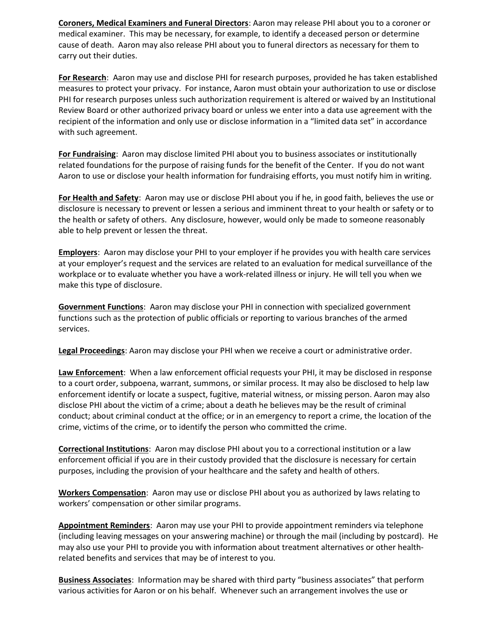Coroners, Medical Examiners and Funeral Directors: Aaron may release PHI about you to a coroner or medical examiner. This may be necessary, for example, to identify a deceased person or determine cause of death. Aaron may also release PHI about you to funeral directors as necessary for them to carry out their duties.

For Research: Aaron may use and disclose PHI for research purposes, provided he has taken established measures to protect your privacy. For instance, Aaron must obtain your authorization to use or disclose PHI for research purposes unless such authorization requirement is altered or waived by an Institutional Review Board or other authorized privacy board or unless we enter into a data use agreement with the recipient of the information and only use or disclose information in a "limited data set" in accordance with such agreement.

For Fundraising: Aaron may disclose limited PHI about you to business associates or institutionally related foundations for the purpose of raising funds for the benefit of the Center. If you do not want Aaron to use or disclose your health information for fundraising efforts, you must notify him in writing.

For Health and Safety: Aaron may use or disclose PHI about you if he, in good faith, believes the use or disclosure is necessary to prevent or lessen a serious and imminent threat to your health or safety or to the health or safety of others. Any disclosure, however, would only be made to someone reasonably able to help prevent or lessen the threat.

Employers: Aaron may disclose your PHI to your employer if he provides you with health care services at your employer's request and the services are related to an evaluation for medical surveillance of the workplace or to evaluate whether you have a work-related illness or injury. He will tell you when we make this type of disclosure.

Government Functions: Aaron may disclose your PHI in connection with specialized government functions such as the protection of public officials or reporting to various branches of the armed services.

Legal Proceedings: Aaron may disclose your PHI when we receive a court or administrative order.

Law Enforcement: When a law enforcement official requests your PHI, it may be disclosed in response to a court order, subpoena, warrant, summons, or similar process. It may also be disclosed to help law enforcement identify or locate a suspect, fugitive, material witness, or missing person. Aaron may also disclose PHI about the victim of a crime; about a death he believes may be the result of criminal conduct; about criminal conduct at the office; or in an emergency to report a crime, the location of the crime, victims of the crime, or to identify the person who committed the crime.

Correctional Institutions: Aaron may disclose PHI about you to a correctional institution or a law enforcement official if you are in their custody provided that the disclosure is necessary for certain purposes, including the provision of your healthcare and the safety and health of others.

Workers Compensation: Aaron may use or disclose PHI about you as authorized by laws relating to workers' compensation or other similar programs.

Appointment Reminders: Aaron may use your PHI to provide appointment reminders via telephone (including leaving messages on your answering machine) or through the mail (including by postcard). He may also use your PHI to provide you with information about treatment alternatives or other healthrelated benefits and services that may be of interest to you.

Business Associates: Information may be shared with third party "business associates" that perform various activities for Aaron or on his behalf. Whenever such an arrangement involves the use or